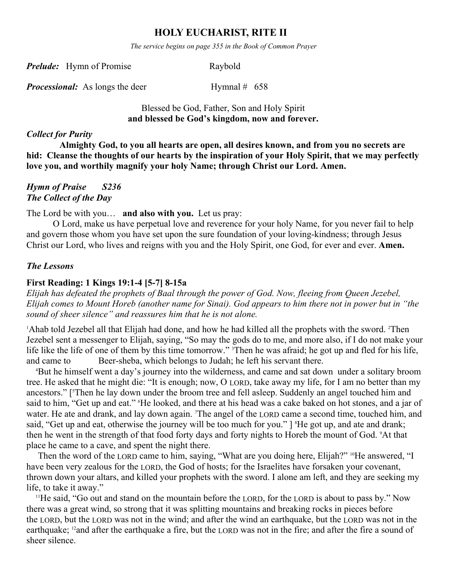# **HOLY EUCHARIST, RITE II**

*The service begins on page 355 in the Book of Common Prayer*

*Prelude:* Hymn of Promise Raybold

*Processional:* As longs the deer Hymnal # 658

#### Blessed be God, Father, Son and Holy Spirit **and blessed be God's kingdom, now and forever.**

#### *Collect for Purity*

**Almighty God, to you all hearts are open, all desires known, and from you no secrets are hid: Cleanse the thoughts of our hearts by the inspiration of your Holy Spirit, that we may perfectly love you, and worthily magnify your holy Name; through Christ our Lord. Amen.**

#### *Hymn of Praise S236 The Collect of the Day*

The Lord be with you… **and also with you.** Let us pray:

O Lord, make us have perpetual love and reverence for your holy Name, for you never fail to help and govern those whom you have set upon the sure foundation of your loving-kindness; through Jesus Christ our Lord, who lives and reigns with you and the Holy Spirit, one God, for ever and ever. **Amen.** 

#### *The Lessons*

#### **First Reading: 1 Kings 19:1-4 [5-7] 8-15a**

*Elijah has defeated the prophets of Baal through the power of God. Now, fleeing from Queen Jezebel, Elijah comes to Mount Horeb (another name for Sinai). God appears to him there not in power but in "the sound of sheer silence" and reassures him that he is not alone.*

<sup>1</sup>Ahab told Jezebel all that Elijah had done, and how he had killed all the prophets with the sword. <sup>2</sup>Then Jezebel sent a messenger to Elijah, saying, "So may the gods do to me, and more also, if I do not make your life like the life of one of them by this time tomorrow." Then he was afraid; he got up and fled for his life, and came to Beer-sheba, which belongs to Judah; he left his servant there.

<sup>4</sup>But he himself went a day's journey into the wilderness, and came and sat down under a solitary broom tree. He asked that he might die: "It is enough; now, O LORD, take away my life, for I am no better than my ancestors." [5Then he lay down under the broom tree and fell asleep. Suddenly an angel touched him and said to him, "Get up and eat." "He looked, and there at his head was a cake baked on hot stones, and a jar of water. He ate and drank, and lay down again. The angel of the LORD came a second time, touched him, and said, "Get up and eat, otherwise the journey will be too much for you." ] <sup>8</sup>He got up, and ate and drank; then he went in the strength of that food forty days and forty nights to Horeb the mount of God. 9At that place he came to a cave, and spent the night there.

Then the word of the LORD came to him, saying, "What are you doing here, Elijah?" <sup>10</sup>He answered, "I have been very zealous for the LORD, the God of hosts; for the Israelites have forsaken your covenant, thrown down your altars, and killed your prophets with the sword. I alone am left, and they are seeking my life, to take it away."

<sup>11</sup>He said, "Go out and stand on the mountain before the LORD, for the LORD is about to pass by." Now there was a great wind, so strong that it was splitting mountains and breaking rocks in pieces before the LORD, but the LORD was not in the wind; and after the wind an earthquake, but the LORD was not in the earthquake; 12and after the earthquake a fire, but the LORD was not in the fire; and after the fire a sound of sheer silence.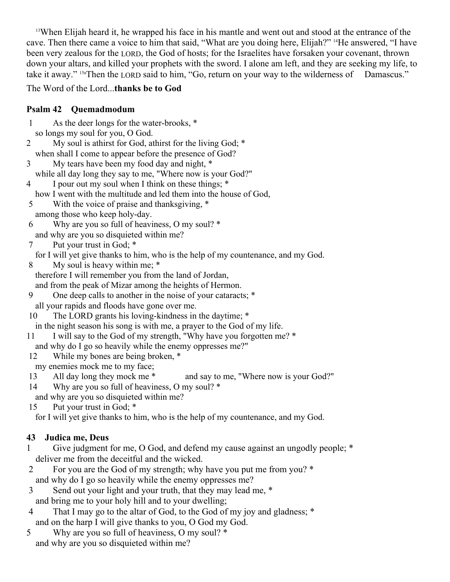<sup>13</sup>When Elijah heard it, he wrapped his face in his mantle and went out and stood at the entrance of the cave. Then there came a voice to him that said, "What are you doing here, Elijah?" 14He answered, "I have been very zealous for the LORD, the God of hosts; for the Israelites have forsaken your covenant, thrown down your altars, and killed your prophets with the sword. I alone am left, and they are seeking my life, to take it away." <sup>15a</sup>Then the LORD said to him, "Go, return on your way to the wilderness of Damascus."

# The Word of the Lord...**thanks be to God**

# **Psalm 42 Quemadmodum**

- 1 As the deer longs for the water-brooks, \*
- so longs my soul for you, O God.
- 2 My soul is athirst for God, athirst for the living God; \* when shall I come to appear before the presence of God?
- 3 My tears have been my food day and night, \*
- while all day long they say to me, "Where now is your God?"
- 4 I pour out my soul when I think on these things; \* how I went with the multitude and led them into the house of God,
- 5 With the voice of praise and thanksgiving, \* among those who keep holy-day.
- 6 Why are you so full of heaviness, O my soul? \* and why are you so disquieted within me?
- 7 Put your trust in God; \*
- for I will yet give thanks to him, who is the help of my countenance, and my God.
- 8 My soul is heavy within me; \*
- therefore I will remember you from the land of Jordan,
- and from the peak of Mizar among the heights of Hermon.
- 9 One deep calls to another in the noise of your cataracts; \* all your rapids and floods have gone over me.
- 10 The LORD grants his loving-kindness in the daytime; \* in the night season his song is with me, a prayer to the God of my life.
- 11 I will say to the God of my strength, "Why have you forgotten me? \*
- and why do I go so heavily while the enemy oppresses me?"
- 12 While my bones are being broken, \*
- my enemies mock me to my face;
- 13 All day long they mock me \* and say to me, "Where now is your God?"
- 14 Why are you so full of heaviness, O my soul? \*
- and why are you so disquieted within me?
- 15 Put your trust in God; \*

for I will yet give thanks to him, who is the help of my countenance, and my God.

# **43 Judica me, Deus**

- 1 Give judgment for me, O God, and defend my cause against an ungodly people; \* deliver me from the deceitful and the wicked.
- 2 For you are the God of my strength; why have you put me from you? \* and why do I go so heavily while the enemy oppresses me?
- 3 Send out your light and your truth, that they may lead me, \* and bring me to your holy hill and to your dwelling;
- 4 That I may go to the altar of God, to the God of my joy and gladness; \* and on the harp I will give thanks to you, O God my God.
- 5 Why are you so full of heaviness, O my soul? \* and why are you so disquieted within me?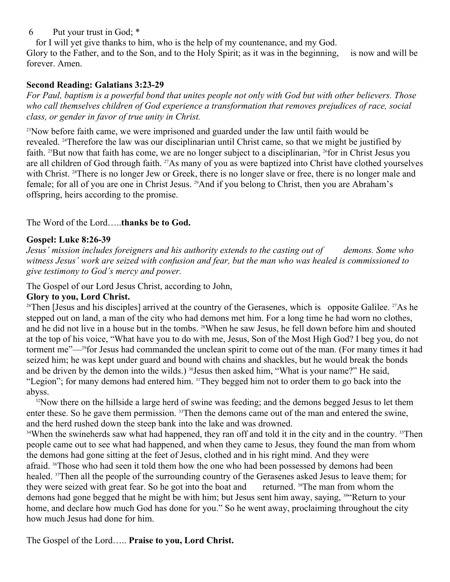6 Put your trust in God; \*

 for I will yet give thanks to him, who is the help of my countenance, and my God. Glory to the Father, and to the Son, and to the Holy Spirit; as it was in the beginning, is now and will be forever. Amen.

# **Second Reading: Galatians 3:23-29**

*For Paul, baptism is a powerful bond that unites people not only with God but with other believers. Those who call themselves children of God experience a transformation that removes prejudices of race, social class, or gender in favor of true unity in Christ.*

<sup>23</sup>Now before faith came, we were imprisoned and guarded under the law until faith would be revealed. 24Therefore the law was our disciplinarian until Christ came, so that we might be justified by faith. <sup>25</sup>But now that faith has come, we are no longer subject to a disciplinarian, <sup>26</sup>for in Christ Jesus you are all children of God through faith. 27As many of you as were baptized into Christ have clothed yourselves with Christ. <sup>28</sup>There is no longer Jew or Greek, there is no longer slave or free, there is no longer male and female; for all of you are one in Christ Jesus. <sup>29</sup>And if you belong to Christ, then you are Abraham's offspring, heirs according to the promise.

## The Word of the Lord…..**thanks be to God.**

## **Gospel: Luke 8:26-39**

*Jesus'* mission includes foreigners and his authority extends to the casting out of demons. Some who *witness Jesus' work are seized with confusion and fear, but the man who was healed is commissioned to give testimony to God's mercy and power.*

The Gospel of our Lord Jesus Christ, according to John,

# **Glory to you, Lord Christ.**

<sup>26</sup>Then [Jesus and his disciples] arrived at the country of the Gerasenes, which is opposite Galilee. <sup>27</sup>As he stepped out on land, a man of the city who had demons met him. For a long time he had worn no clothes, and he did not live in a house but in the tombs. 28When he saw Jesus, he fell down before him and shouted at the top of his voice, "What have you to do with me, Jesus, Son of the Most High God? I beg you, do not torment me"—29for Jesus had commanded the unclean spirit to come out of the man. (For many times it had seized him; he was kept under guard and bound with chains and shackles, but he would break the bonds and be driven by the demon into the wilds.) <sup>30</sup>Jesus then asked him, "What is your name?" He said, "Legion"; for many demons had entered him. 31They begged him not to order them to go back into the abyss.

<sup>32</sup>Now there on the hillside a large herd of swine was feeding; and the demons begged Jesus to let them enter these. So he gave them permission. <sup>33</sup>Then the demons came out of the man and entered the swine, and the herd rushed down the steep bank into the lake and was drowned.

<sup>34</sup>When the swineherds saw what had happened, they ran off and told it in the city and in the country. <sup>35</sup>Then people came out to see what had happened, and when they came to Jesus, they found the man from whom the demons had gone sitting at the feet of Jesus, clothed and in his right mind. And they were afraid. <sup>36</sup>Those who had seen it told them how the one who had been possessed by demons had been healed. 37Then all the people of the surrounding country of the Gerasenes asked Jesus to leave them; for they were seized with great fear. So he got into the boat and returned. 38The man from whom the demons had gone begged that he might be with him; but Jesus sent him away, saying, <sup>39"</sup>Return to your home, and declare how much God has done for you." So he went away, proclaiming throughout the city how much Jesus had done for him.

The Gospel of the Lord….. **Praise to you, Lord Christ.**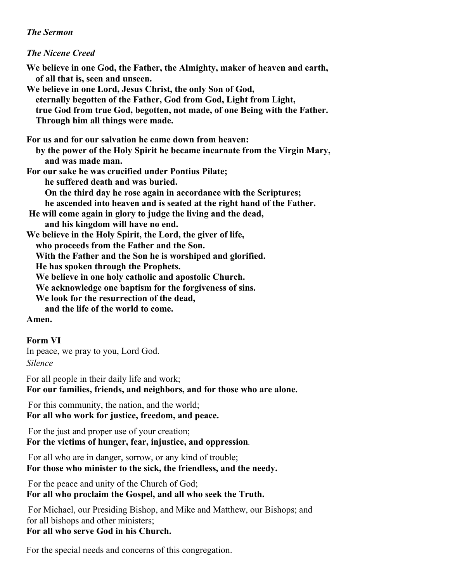#### *The Sermon*

#### *The Nicene Creed*

**We believe in one God, the Father, the Almighty, maker of heaven and earth, of all that is, seen and unseen. We believe in one Lord, Jesus Christ, the only Son of God, eternally begotten of the Father, God from God, Light from Light, true God from true God, begotten, not made, of one Being with the Father. Through him all things were made. For us and for our salvation he came down from heaven: by the power of the Holy Spirit he became incarnate from the Virgin Mary, and was made man. For our sake he was crucified under Pontius Pilate; he suffered death and was buried. On the third day he rose again in accordance with the Scriptures; he ascended into heaven and is seated at the right hand of the Father. He will come again in glory to judge the living and the dead, and his kingdom will have no end. We believe in the Holy Spirit, the Lord, the giver of life, who proceeds from the Father and the Son. With the Father and the Son he is worshiped and glorified. He has spoken through the Prophets. We believe in one holy catholic and apostolic Church. We acknowledge one baptism for the forgiveness of sins. We look for the resurrection of the dead, and the life of the world to come. Amen.**

**Form VI** In peace, we pray to you, Lord God. *Silence*

For all people in their daily life and work;

**For our families, friends, and neighbors, and for those who are alone.**

For this community, the nation, and the world; **For all who work for justice, freedom, and peace.**

For the just and proper use of your creation; **For the victims of hunger, fear, injustice, and oppression***.*

For all who are in danger, sorrow, or any kind of trouble; **For those who minister to the sick, the friendless, and the needy.**

For the peace and unity of the Church of God; **For all who proclaim the Gospel, and all who seek the Truth.**

For Michael, our Presiding Bishop, and Mike and Matthew, our Bishops; and for all bishops and other ministers; **For all who serve God in his Church.**

For the special needs and concerns of this congregation.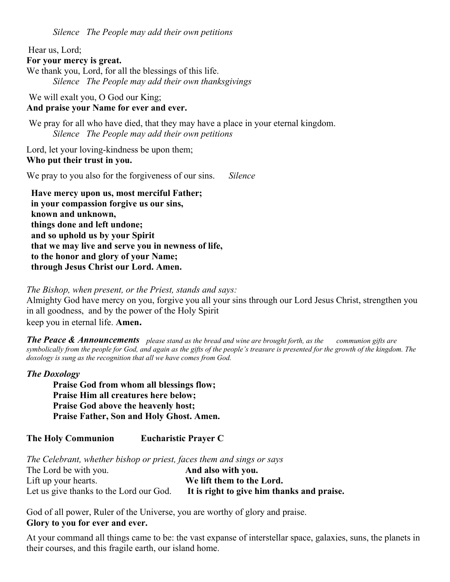*Silence The People may add their own petitions*

Hear us, Lord; **For your mercy is great.** We thank you, Lord, for all the blessings of this life. *Silence The People may add their own thanksgivings*

#### We will exalt you, O God our King; **And praise your Name for ever and ever.**

We pray for all who have died, that they may have a place in your eternal kingdom. *Silence The People may add their own petitions*

Lord, let your loving-kindness be upon them; **Who put their trust in you.**

We pray to you also for the forgiveness of our sins. *Silence*

 **Have mercy upon us, most merciful Father; in your compassion forgive us our sins, known and unknown, things done and left undone; and so uphold us by your Spirit that we may live and serve you in newness of life, to the honor and glory of your Name; through Jesus Christ our Lord. Amen.**

*The Bishop, when present, or the Priest, stands and says:*  Almighty God have mercy on you, forgive you all your sins through our Lord Jesus Christ, strengthen you in all goodness, and by the power of the Holy Spirit keep you in eternal life. **Amen.**

*The Peace & Announcements please stand as the bread and wine are brought forth, as the communion gifts are symbolically from the people for God, and again as the gifts of the people's treasure is presented for the growth of the kingdom. The doxology is sung as the recognition that all we have comes from God.* 

#### *The Doxology*

**Praise God from whom all blessings flow; Praise Him all creatures here below; Praise God above the heavenly host; Praise Father, Son and Holy Ghost. Amen.** 

**The Holy Communion Eucharistic Prayer C**

*The Celebrant, whether bishop or priest, faces them and sings or says* The Lord be with you. **And also with you.** Lift up your hearts. **We lift them to the Lord.** Let us give thanks to the Lord our God. **It is right to give him thanks and praise.**

God of all power, Ruler of the Universe, you are worthy of glory and praise. **Glory to you for ever and ever.**

At your command all things came to be: the vast expanse of interstellar space, galaxies, suns, the planets in their courses, and this fragile earth, our island home.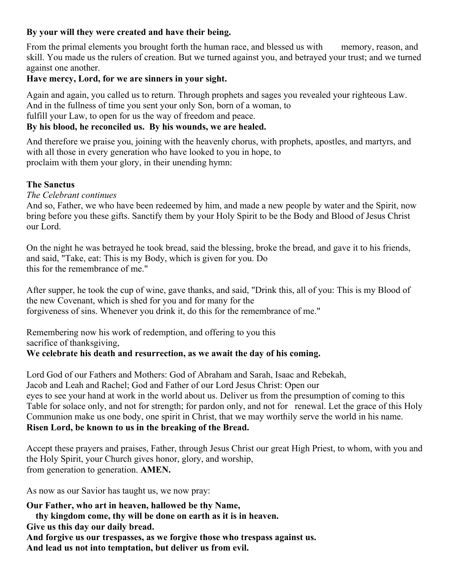# **By your will they were created and have their being.**

From the primal elements you brought forth the human race, and blessed us with memory, reason, and skill. You made us the rulers of creation. But we turned against you, and betrayed your trust; and we turned against one another.

# **Have mercy, Lord, for we are sinners in your sight.**

Again and again, you called us to return. Through prophets and sages you revealed your righteous Law. And in the fullness of time you sent your only Son, born of a woman, to fulfill your Law, to open for us the way of freedom and peace.

# **By his blood, he reconciled us. By his wounds, we are healed.**

And therefore we praise you, joining with the heavenly chorus, with prophets, apostles, and martyrs, and with all those in every generation who have looked to you in hope, to proclaim with them your glory, in their unending hymn:

## **The Sanctus**

## *The Celebrant continues*

And so, Father, we who have been redeemed by him, and made a new people by water and the Spirit, now bring before you these gifts. Sanctify them by your Holy Spirit to be the Body and Blood of Jesus Christ our Lord.

On the night he was betrayed he took bread, said the blessing, broke the bread, and gave it to his friends, and said, "Take, eat: This is my Body, which is given for you. Do this for the remembrance of me."

After supper, he took the cup of wine, gave thanks, and said, "Drink this, all of you: This is my Blood of the new Covenant, which is shed for you and for many for the forgiveness of sins. Whenever you drink it, do this for the remembrance of me."

Remembering now his work of redemption, and offering to you this sacrifice of thanksgiving, **We celebrate his death and resurrection, as we await the day of his coming.**

Lord God of our Fathers and Mothers: God of Abraham and Sarah, Isaac and Rebekah, Jacob and Leah and Rachel; God and Father of our Lord Jesus Christ: Open our eyes to see your hand at work in the world about us. Deliver us from the presumption of coming to this Table for solace only, and not for strength; for pardon only, and not for renewal. Let the grace of this Holy Communion make us one body, one spirit in Christ, that we may worthily serve the world in his name.

# **Risen Lord, be known to us in the breaking of the Bread.**

Accept these prayers and praises, Father, through Jesus Christ our great High Priest, to whom, with you and the Holy Spirit, your Church gives honor, glory, and worship, from generation to generation. **AMEN.**

As now as our Savior has taught us, we now pray:

**Our Father, who art in heaven, hallowed be thy Name, thy kingdom come, thy will be done on earth as it is in heaven. Give us this day our daily bread. And forgive us our trespasses, as we forgive those who trespass against us. And lead us not into temptation, but deliver us from evil.**